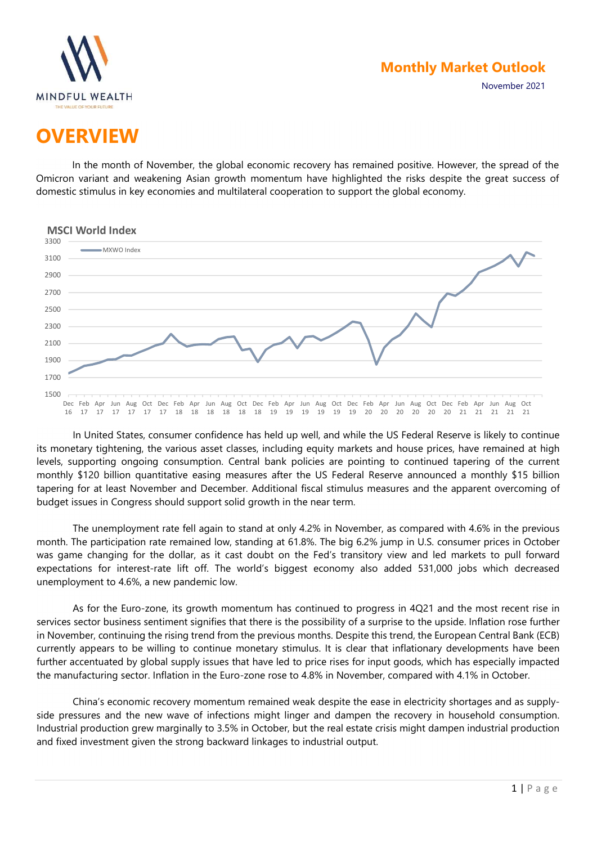

November 2021

# **OVERVIEW**

In the month of November, the global economic recovery has remained positive. However, the spread of the Omicron variant and weakening Asian growth momentum have highlighted the risks despite the great success of domestic stimulus in key economies and multilateral cooperation to support the global economy.



In United States, consumer confidence has held up well, and while the US Federal Reserve is likely to continue its monetary tightening, the various asset classes, including equity markets and house prices, have remained at high levels, supporting ongoing consumption. Central bank policies are pointing to continued tapering of the current monthly \$120 billion quantitative easing measures after the US Federal Reserve announced a monthly \$15 billion tapering for at least November and December. Additional fiscal stimulus measures and the apparent overcoming of budget issues in Congress should support solid growth in the near term.

The unemployment rate fell again to stand at only 4.2% in November, as compared with 4.6% in the previous month. The participation rate remained low, standing at 61.8%. The big 6.2% jump in U.S. consumer prices in October was game changing for the dollar, as it cast doubt on the Fed's transitory view and led markets to pull forward expectations for interest-rate lift off. The world's biggest economy also added 531,000 jobs which decreased unemployment to 4.6%, a new pandemic low.

As for the Euro-zone, its growth momentum has continued to progress in 4Q21 and the most recent rise in services sector business sentiment signifies that there is the possibility of a surprise to the upside. Inflation rose further in November, continuing the rising trend from the previous months. Despite this trend, the European Central Bank (ECB) currently appears to be willing to continue monetary stimulus. It is clear that inflationary developments have been further accentuated by global supply issues that have led to price rises for input goods, which has especially impacted the manufacturing sector. Inflation in the Euro-zone rose to 4.8% in November, compared with 4.1% in October.

China's economic recovery momentum remained weak despite the ease in electricity shortages and as supplyside pressures and the new wave of infections might linger and dampen the recovery in household consumption. Industrial production grew marginally to 3.5% in October, but the real estate crisis might dampen industrial production and fixed investment given the strong backward linkages to industrial output.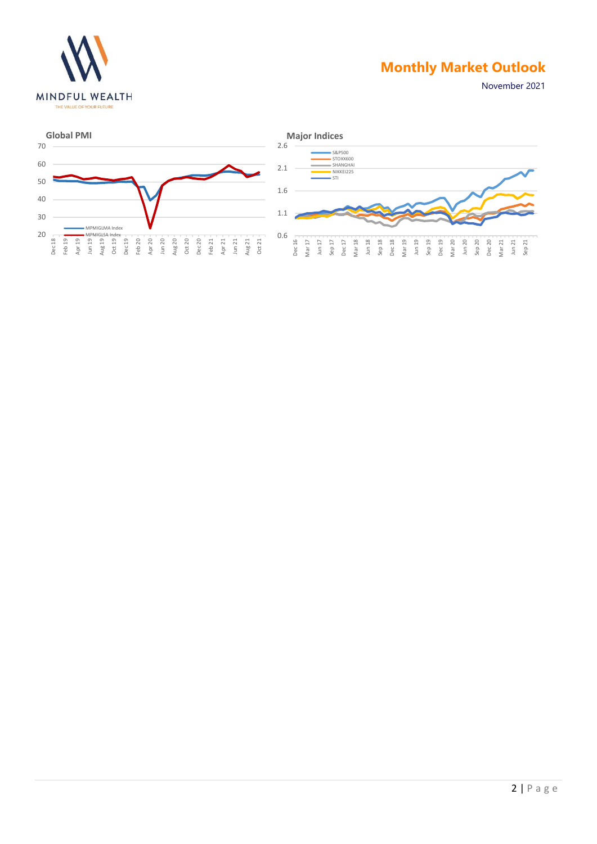

November 2021

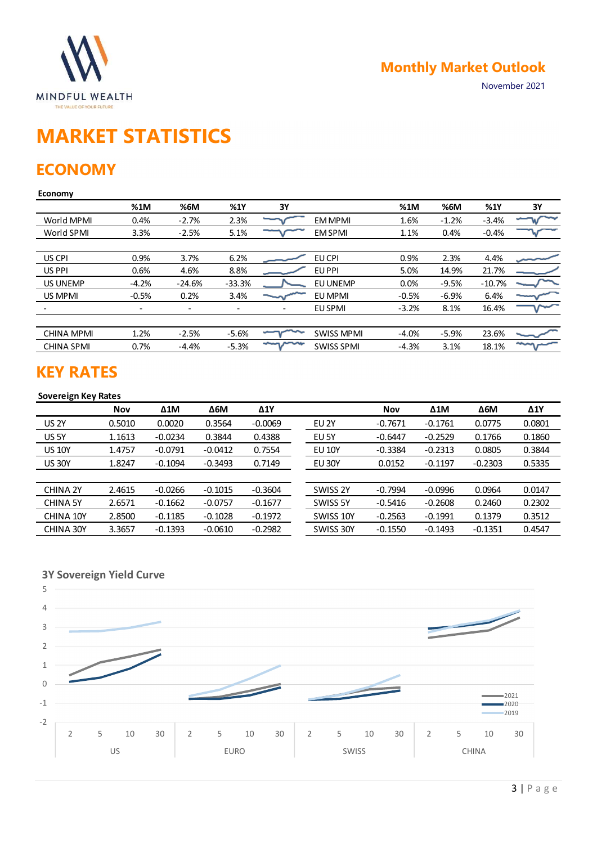

# MARKET STATISTICS

### **ECONOMY**

#### Economy

| <b>MINDFUL WEALTH</b><br>THE VALUE OF YOUR FUTURE     |                          |                          |                          |                          |                   |           | <b>Monthly Market Outlook</b> |             | November 2021 |
|-------------------------------------------------------|--------------------------|--------------------------|--------------------------|--------------------------|-------------------|-----------|-------------------------------|-------------|---------------|
| <b>MARKET STATISTICS</b><br><b>ECONOMY</b><br>Economy |                          |                          |                          |                          |                   |           |                               |             |               |
|                                                       | %1M                      | %6M                      | %1Y                      | 3Y                       |                   | %1M       | %6M                           | %1Y         | 3Y            |
| World MPMI                                            | 0.4%                     | $-2.7%$                  | 2.3%                     |                          | EM MPMI           | 1.6%      | $-1.2%$                       | $-3.4%$     |               |
| World SPMI                                            | 3.3%                     | $-2.5%$                  | 5.1%                     |                          | <b>EM SPMI</b>    | 1.1%      | 0.4%                          | $-0.4%$     |               |
| US CPI                                                | 0.9%                     | 3.7%                     | 6.2%                     |                          | EU CPI            | 0.9%      | 2.3%                          | 4.4%        |               |
| US PPI                                                | 0.6%                     | 4.6%                     | 8.8%                     |                          | EU PPI            | 5.0%      | 14.9%                         | 21.7%       |               |
| US UNEMP                                              | $-4.2%$                  | $-24.6%$                 | $-33.3%$                 |                          | EU UNEMP          | 0.0%      | $-9.5%$                       | $-10.7%$    |               |
| US MPMI                                               | $-0.5%$                  | 0.2%                     | 3.4%                     |                          | EU MPMI           | $-0.5%$   | $-6.9%$                       | 6.4%        |               |
|                                                       | $\overline{\phantom{a}}$ | $\overline{\phantom{a}}$ | $\overline{\phantom{a}}$ | $\overline{\phantom{a}}$ | EU SPMI           | $-3.2%$   | 8.1%                          | 16.4%       |               |
| <b>CHINA MPMI</b>                                     | 1.2%                     | $-2.5%$                  | $-5.6%$                  |                          | <b>SWISS MPMI</b> | $-4.0%$   | $-5.9%$                       | 23.6%       |               |
| <b>CHINA SPMI</b>                                     | 0.7%                     | $-4.4%$                  | $-5.3%$                  | mymm                     | <b>SWISS SPMI</b> | $-4.3%$   | 3.1%                          | 18.1%       | سيجه          |
| <b>KEY RATES</b><br><b>Sovereign Key Rates</b>        |                          |                          |                          |                          |                   |           |                               |             |               |
|                                                       | <b>Nov</b>               | $\Delta 1$ M             | $\Delta 6M$              | $\Delta$ 1Y              |                   | Nov       | $\Delta 1$ M                  | $\Delta 6M$ | $\Delta$ 1Y   |
| <b>US 2Y</b>                                          | 0.5010                   | 0.0020                   | 0.3564                   | $-0.0069$                | EU <sub>2Y</sub>  | $-0.7671$ | $-0.1761$                     | 0.0775      | 0.0801        |
| US 5Y                                                 | 1.1613                   | $-0.0234$                | 0.3844                   | 0.4388                   | EU 5Y             | $-0.6447$ | $-0.2529$                     | 0.1766      | 0.1860        |
| <b>US 10Y</b>                                         | 1.4757                   | $-0.0791$                | $-0.0412$                | 0.7554                   | <b>EU 10Y</b>     | $-0.3384$ | $-0.2313$                     | 0.0805      | 0.3844        |
| <b>US 30Y</b>                                         | 1.8247                   | $-0.1094$                | $-0.3493$                | 0.7149                   | <b>EU 30Y</b>     | 0.0152    | $-0.1197$                     | $-0.2303$   | 0.5335        |
| CHINA 2Y                                              | 2.4615                   | $-0.0266$                | $-0.1015$                | $-0.3604$                | SWISS 2Y          | $-0.7994$ | $-0.0996$                     | 0.0964      | 0.0147        |
| <b>CHINA 5Y</b>                                       | 2.6571                   | $-0.1662$                | $-0.0757$                | $-0.1677$                | SWISS 5Y          | $-0.5416$ | $-0.2608$                     | 0.2460      | 0.2302        |
| CHINA 10Y                                             | 2.8500                   | $-0.1185$                | $-0.1028$                | $-0.1972$                | SWISS 10Y         | $-0.2563$ | $-0.1991$                     | 0.1379      | 0.3512        |
|                                                       |                          |                          |                          |                          |                   |           |                               |             |               |
| CHINA 30Y                                             | 3.3657                   | $-0.1393$                | $-0.0610$                | $-0.2982$                | SWISS 30Y         | $-0.1550$ | $-0.1493$                     | $-0.1351$   | 0.4547        |

### KEY RATES

#### Sovereign Key Rates

| US CPI                                         | 0.9%                     | 3.7%         | 6.2%                     |                          | EU CPI            | 0.9%       | 2.3%         | 4.4%        |             |
|------------------------------------------------|--------------------------|--------------|--------------------------|--------------------------|-------------------|------------|--------------|-------------|-------------|
| US PPI                                         | 0.6%                     | 4.6%         | 8.8%                     |                          | EU PPI            | 5.0%       | 14.9%        | 21.7%       |             |
| <b>US UNEMP</b>                                | $-4.2%$                  | $-24.6%$     | $-33.3%$                 |                          | EU UNEMP          | 0.0%       | $-9.5%$      | $-10.7%$    |             |
| US MPMI                                        | $-0.5%$                  | 0.2%         | 3.4%                     |                          | EU MPMI           | $-0.5%$    | $-6.9%$      | 6.4%        |             |
|                                                | $\overline{\phantom{a}}$ | $\sim$       | $\overline{\phantom{a}}$ | $\overline{\phantom{a}}$ | <b>EU SPMI</b>    | $-3.2%$    | 8.1%         | 16.4%       |             |
|                                                |                          |              |                          |                          |                   |            |              |             |             |
| <b>CHINA MPMI</b>                              | 1.2%                     | $-2.5%$      | $-5.6%$                  |                          | <b>SWISS MPMI</b> | $-4.0%$    | $-5.9%$      | 23.6%       |             |
| <b>CHINA SPMI</b>                              | 0.7%                     | $-4.4%$      | $-5.3%$                  | سمرسر                    | <b>SWISS SPMI</b> | $-4.3%$    | 3.1%         | 18.1%       | $\sim$      |
| <b>KEY RATES</b><br><b>Sovereign Key Rates</b> |                          |              |                          |                          |                   |            |              |             |             |
|                                                | Nov                      | $\Delta 1$ M | $\Delta 6M$              | $\Delta 1Y$              |                   | <b>Nov</b> | $\Delta 1$ M | $\Delta 6M$ | $\Delta$ 1Y |
| <b>US 2Y</b>                                   | 0.5010                   | 0.0020       | 0.3564                   | $-0.0069$                | EU <sub>2Y</sub>  | $-0.7671$  | $-0.1761$    | 0.0775      | 0.0801      |
| US 5Y                                          | 1.1613                   | $-0.0234$    | 0.3844                   | 0.4388                   | EU 5Y             | $-0.6447$  | $-0.2529$    | 0.1766      | 0.1860      |
| <b>US 10Y</b>                                  | 1.4757                   | $-0.0791$    | $-0.0412$                | 0.7554                   | <b>EU 10Y</b>     | $-0.3384$  | $-0.2313$    | 0.0805      | 0.3844      |
| <b>US 30Y</b>                                  | 1.8247                   | $-0.1094$    | $-0.3493$                | 0.7149                   | <b>EU 30Y</b>     | 0.0152     | $-0.1197$    | $-0.2303$   | 0.5335      |
|                                                |                          |              |                          |                          |                   |            |              |             |             |
| <b>CHINA 2Y</b>                                | 2.4615                   | $-0.0266$    | $-0.1015$                | $-0.3604$                | SWISS 2Y          | $-0.7994$  | $-0.0996$    | 0.0964      | 0.0147      |
| <b>CHINA 5Y</b>                                | 2.6571                   | $-0.1662$    | $-0.0757$                | $-0.1677$                | SWISS 5Y          | $-0.5416$  | $-0.2608$    | 0.2460      | 0.2302      |
| CHINA 10Y                                      | 2.8500                   | $-0.1185$    | $-0.1028$                | $-0.1972$                | SWISS 10Y         | $-0.2563$  | $-0.1991$    | 0.1379      | 0.3512      |
| CHINA 30Y                                      | 3.3657                   | $-0.1393$    | $-0.0610$                | $-0.2982$                | SWISS 30Y         | $-0.1550$  | $-0.1493$    | $-0.1351$   | 0.4547      |
|                                                |                          |              |                          |                          |                   |            |              |             |             |
|                                                |                          |              |                          |                          |                   |            |              |             |             |
| <b>3Y Sovereign Yield Curve</b><br>5           |                          |              |                          |                          |                   |            |              |             |             |

### 3Y Sovereign Yield Curve

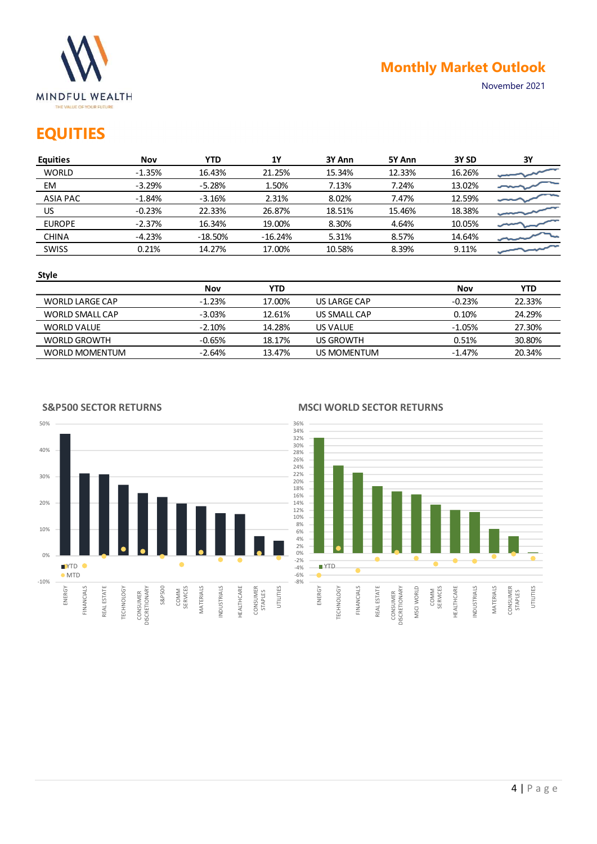

### **EQUITIES**

|                                                                      |            |            |            |                  |        | <b>Monthly Market Outlook</b> |               |
|----------------------------------------------------------------------|------------|------------|------------|------------------|--------|-------------------------------|---------------|
| <b>MINDFUL WEALTH</b><br>THE VALUE OF YOUR FUTURE<br><b>EQUITIES</b> |            |            |            |                  |        |                               | November 2021 |
| <b>Equities</b>                                                      | <b>Nov</b> | <b>YTD</b> | 1Y         | 3Y Ann           | 5Y Ann | 3Y SD                         | 3Y            |
| <b>WORLD</b>                                                         | $-1.35%$   | 16.43%     | 21.25%     | 15.34%           | 12.33% | 16.26%                        |               |
| EM                                                                   | $-3.29%$   | $-5.28%$   | 1.50%      | 7.13%            | 7.24%  | 13.02%                        |               |
| <b>ASIA PAC</b>                                                      | $-1.84%$   | $-3.16%$   | 2.31%      | 8.02%            | 7.47%  | 12.59%                        |               |
| US.                                                                  | $-0.23%$   | 22.33%     | 26.87%     | 18.51%           | 15.46% | 18.38%                        |               |
| <b>EUROPE</b>                                                        | $-2.37%$   | 16.34%     | 19.00%     | 8.30%            | 4.64%  | 10.05%                        |               |
| <b>CHINA</b>                                                         | $-4.23%$   | $-18.50%$  | $-16.24%$  | 5.31%            | 8.57%  | 14.64%                        |               |
| SWISS                                                                | 0.21%      | 14.27%     | 17.00%     | 10.58%           | 8.39%  | 9.11%                         |               |
| <b>Style</b>                                                         |            |            |            |                  |        |                               |               |
|                                                                      |            | <b>Nov</b> | <b>YTD</b> |                  |        | <b>Nov</b>                    | <b>YTD</b>    |
|                                                                      |            |            | 17.00%     | US LARGE CAP     |        | $-0.23%$                      | 22.33%        |
| WORLD LARGE CAP                                                      |            | $-1.23%$   |            |                  |        |                               |               |
| WORLD SMALL CAP                                                      |            | $-3.03%$   | 12.61%     | US SMALL CAP     |        | 0.10%                         | 24.29%        |
| <b>WORLD VALUE</b>                                                   |            | $-2.10%$   | 14.28%     | US VALUE         |        | $-1.05%$                      | 27.30%        |
| <b>WORLD GROWTH</b>                                                  |            | $-0.65%$   | 18.17%     | <b>US GROWTH</b> |        | 0.51%                         | 30.80%        |

#### Style

|                    | Nov      | YTD    |              | Nov      | YTD    |
|--------------------|----------|--------|--------------|----------|--------|
| WORLD LARGE CAP    | $-1.23%$ | 17.00% | US LARGE CAP | $-0.23%$ | 22.33% |
| WORLD SMALL CAP    | $-3.03%$ | 12.61% | US SMALL CAP | 0.10%    | 24.29% |
| <b>WORLD VALUE</b> | $-2.10%$ | 14.28% | US VALUE     | $-1.05%$ | 27.30% |
| WORLD GROWTH       | $-0.65%$ | 18.17% | US GROWTH    | 0.51%    | 30.80% |
| WORLD MOMENTUM     | $-2.64%$ | 13.47% | US MOMENTUM  | $-1.47%$ | 20.34% |

#### S&P500 SECTOR RETURNS

#### MSCI WORLD SECTOR RETURNS



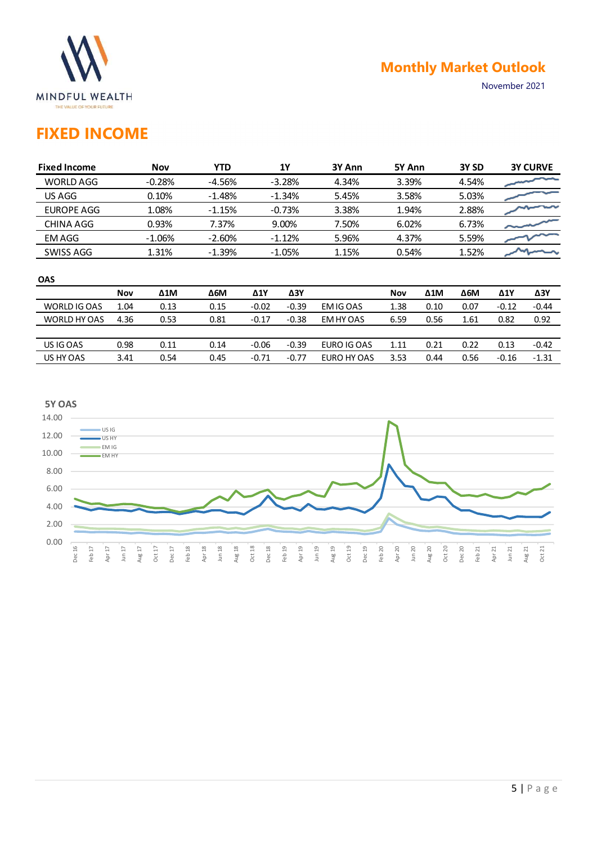

## FIXED INCOME

|                                                   |            |                |                      |             |                      |                |                |              | <b>Monthly Market Outlook</b> |               |                 |
|---------------------------------------------------|------------|----------------|----------------------|-------------|----------------------|----------------|----------------|--------------|-------------------------------|---------------|-----------------|
| <b>MINDFUL WEALTH</b><br>THE VALUE OF YOUR FUTURE |            |                |                      |             |                      |                |                |              |                               | November 2021 |                 |
| <b>FIXED INCOME</b>                               |            |                |                      |             |                      |                |                |              |                               |               |                 |
| <b>Fixed Income</b>                               |            | Nov            | <b>YTD</b>           |             | <b>1Y</b>            | 3Y Ann         | 5Y Ann         |              | 3Y SD                         |               | <b>3Y CURVE</b> |
| <b>WORLD AGG</b>                                  |            | $-0.28%$       | $-4.56%$             |             | $-3.28%$             | 4.34%          | 3.39%          |              | 4.54%                         |               |                 |
| US AGG<br><b>EUROPE AGG</b>                       |            | 0.10%<br>1.08% | $-1.48%$<br>$-1.15%$ |             | $-1.34%$<br>$-0.73%$ | 5.45%<br>3.38% | 3.58%<br>1.94% |              | 5.03%<br>2.88%                |               |                 |
| CHINA AGG                                         |            | 0.93%          | 7.37%                |             | 9.00%                | 7.50%          | 6.02%          |              | 6.73%                         |               |                 |
| <b>EMAGG</b>                                      |            | $-1.06%$       | $-2.60%$             |             | $-1.12%$             | 5.96%          | 4.37%          |              | 5.59%                         |               |                 |
| SWISS AGG                                         |            | 1.31%          | $-1.39%$             |             | $-1.05%$             | 1.15%          | 0.54%          |              | 1.52%                         |               |                 |
| OAS                                               |            |                |                      |             |                      |                |                |              |                               |               |                 |
|                                                   |            | $\Delta 1$ M   | $\Delta 6\text{M}$   | $\Delta$ 1Y | $\Delta 3Y$          |                | <b>Nov</b>     | $\Delta 1$ M | $\Delta 6M$                   | $\Delta 1$    | $\Delta 3Y$     |
|                                                   | <b>Nov</b> |                |                      |             |                      |                | 1.38           | 0.10         | 0.07                          | $-0.12$       | $-0.44$         |
| WORLD IG OAS                                      | 1.04       | 0.13           | 0.15                 | $-0.02$     | $-0.39$              | EM IG OAS      |                |              |                               |               |                 |
| WORLD HY OAS                                      | 4.36       | 0.53           | 0.81                 | $-0.17$     | $-0.38$              | EM HY OAS      | 6.59           | 0.56         | 1.61                          | 0.82          | 0.92            |
| US IG OAS                                         | 0.98       | 0.11           | 0.14                 | $-0.06$     | $-0.39$              | EURO IG OAS    | 1.11           | 0.21         | 0.22                          | 0.13          | $-0.42$         |

#### **OAS** *DAS*

|              | Nov  | Δ1M  | $\Delta$ 6M | Δ1Y     | $\Delta 3Y$ |             | <b>Nov</b> | Δ1M  | Δ6M  | Δ1Y     | <b>Δ3Υ</b> |
|--------------|------|------|-------------|---------|-------------|-------------|------------|------|------|---------|------------|
| WORLD IG OAS | 1.04 | 0.13 | 0.15        | $-0.02$ | $-0.39$     | EM IG OAS   | 1.38       | 0.10 | 0.07 | $-0.12$ | $-0.44$    |
| WORLD HY OAS | 4.36 | 0.53 | 0.81        | $-0.17$ | $-0.38$     | EM HY OAS   | 6.59       | 0.56 | 1.61 | 0.82    | 0.92       |
|              |      |      |             |         |             |             |            |      |      |         |            |
| US IG OAS    | 0.98 | 0.11 | 0.14        | $-0.06$ | $-0.39$     | EURO IG OAS | 1.11       | 0.21 | 0.22 | 0.13    | $-0.42$    |
| US HY OAS    | 3.41 | 0.54 | 0.45        | $-0.71$ | $-0.77$     | EURO HY OAS | 3.53       | 0.44 | 0.56 | $-0.16$ | $-1.31$    |

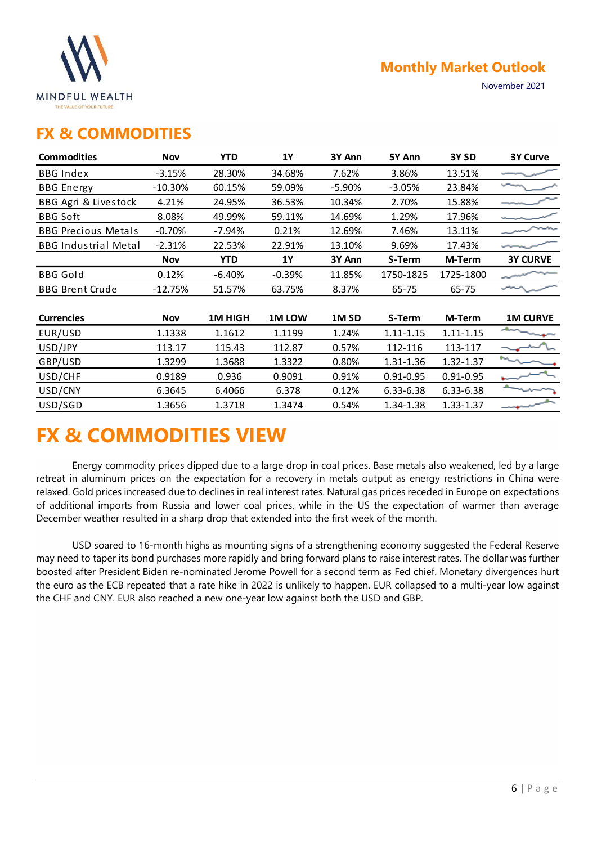

### FX & COMMODITIES

|                                                   |            |            |           |                  |               | <b>Monthly Market Outlook</b> |                 |
|---------------------------------------------------|------------|------------|-----------|------------------|---------------|-------------------------------|-----------------|
| <b>MINDFUL WEALTH</b><br>THE VALUE OF YOUR FUTURE |            |            |           |                  |               |                               | November 2021   |
| <b>FX &amp; COMMODITIES</b>                       |            |            |           |                  |               |                               |                 |
| <b>Commodities</b>                                | <b>Nov</b> | <b>YTD</b> | <b>1Y</b> | 3Y Ann           | 5Y Ann        | 3Y <sub>SD</sub>              | <b>3Y Curve</b> |
| <b>BBG Index</b>                                  | $-3.15%$   | 28.30%     | 34.68%    | 7.62%            | 3.86%         | 13.51%                        |                 |
| <b>BBG</b> Energy                                 | $-10.30%$  | 60.15%     | 59.09%    | $-5.90%$         | $-3.05%$      | 23.84%                        |                 |
| BBG Agri & Livestock                              | 4.21%      | 24.95%     | 36.53%    | 10.34%           | 2.70%         | 15.88%                        |                 |
| <b>BBG Soft</b>                                   | 8.08%      | 49.99%     | 59.11%    | 14.69%           | 1.29%         | 17.96%                        |                 |
| <b>BBG Precious Metals</b>                        | $-0.70%$   | $-7.94%$   | 0.21%     | 12.69%           | 7.46%         | 13.11%                        |                 |
| <b>BBG Industrial Metal</b>                       | $-2.31%$   | 22.53%     | 22.91%    | 13.10%           | 9.69%         | 17.43%                        | يستهجن          |
|                                                   | <b>Nov</b> | <b>YTD</b> | <b>1Y</b> | 3Y Ann           | S-Term        | M-Term                        | <b>3Y CURVE</b> |
| <b>BBG</b> Gold                                   | 0.12%      | $-6.40%$   | $-0.39%$  | 11.85%           | 1750-1825     | 1725-1800                     |                 |
| <b>BBG Brent Crude</b>                            | $-12.75%$  | 51.57%     | 63.75%    | 8.37%            | 65-75         | 65-75                         | سماس            |
| <b>Currencies</b>                                 | Nov        | 1M HIGH    | 1M LOW    | 1M <sub>SD</sub> | S-Term        | M-Term                        | <b>1M CURVE</b> |
| EUR/USD                                           | 1.1338     | 1.1612     | 1.1199    | 1.24%            | $1.11 - 1.15$ | $1.11 - 1.15$                 |                 |
| USD/JPY                                           | 113.17     | 115.43     | 112.87    | 0.57%            | 112-116       | 113-117                       |                 |
| GBP/USD                                           | 1.3299     | 1.3688     | 1.3322    | 0.80%            | 1.31-1.36     | 1.32-1.37                     |                 |
| USD/CHF                                           | 0.9189     | 0.936      | 0.9091    | 0.91%            | $0.91 - 0.95$ | $0.91 - 0.95$                 |                 |
| USD/CNY                                           | 6.3645     | 6.4066     | 6.378     | 0.12%            | 6.33-6.38     | 6.33-6.38                     |                 |
| USD/SGD                                           | 1.3656     | 1.3718     | 1.3474    | 0.54%            | 1.34-1.38     | 1.33-1.37                     |                 |

## FX & COMMODITIES VIEW

Energy commodity prices dipped due to a large drop in coal prices. Base metals also weakened, led by a large retreat in aluminum prices on the expectation for a recovery in metals output as energy restrictions in China were relaxed. Gold prices increased due to declines in real interest rates. Natural gas prices receded in Europe on expectations of additional imports from Russia and lower coal prices, while in the US the expectation of warmer than average December weather resulted in a sharp drop that extended into the first week of the month.

USD soared to 16-month highs as mounting signs of a strengthening economy suggested the Federal Reserve may need to taper its bond purchases more rapidly and bring forward plans to raise interest rates. The dollar was further boosted after President Biden re-nominated Jerome Powell for a second term as Fed chief. Monetary divergences hurt the euro as the ECB repeated that a rate hike in 2022 is unlikely to happen. EUR collapsed to a multi-year low against the CHF and CNY. EUR also reached a new one-year low against both the USD and GBP.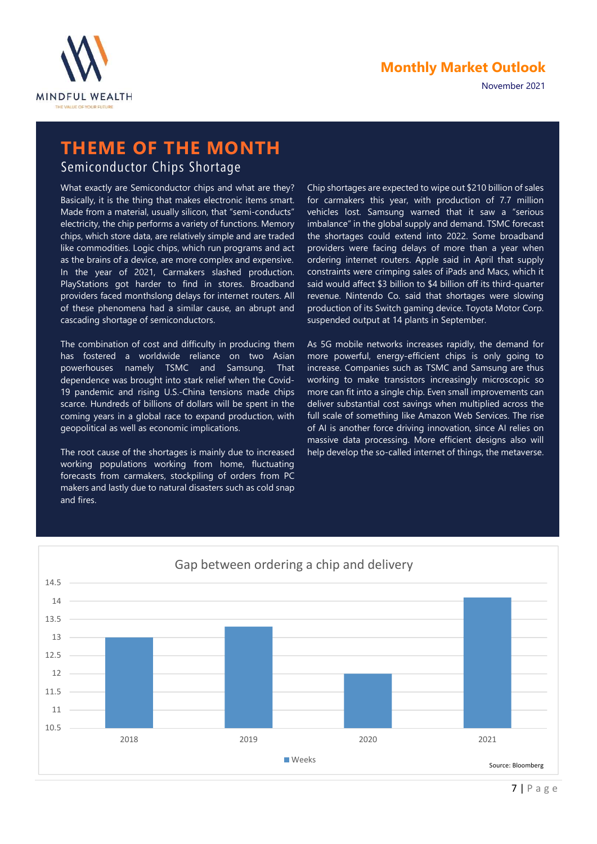

November 2021

# THEME OF THE MONTH

Semiconductor Chips Shortage

What exactly are Semiconductor chips and what are they? Basically, it is the thing that makes electronic items smart. Made from a material, usually silicon, that "semi-conducts" electricity, the chip performs a variety of functions. Memory chips, which store data, are relatively simple and are traded like commodities. Logic chips, which run programs and act as the brains of a device, are more complex and expensive. In the year of 2021, Carmakers slashed production. PlayStations got harder to find in stores. Broadband providers faced monthslong delays for internet routers. All of these phenomena had a similar cause, an abrupt and cascading shortage of semiconductors.

The combination of cost and difficulty in producing them has fostered a worldwide reliance on two Asian powerhouses namely TSMC and Samsung. That dependence was brought into stark relief when the Covid-19 pandemic and rising U.S.-China tensions made chips scarce. Hundreds of billions of dollars will be spent in the coming years in a global race to expand production, with geopolitical as well as economic implications.

The root cause of the shortages is mainly due to increased working populations working from home, fluctuating forecasts from carmakers, stockpiling of orders from PC makers and lastly due to natural disasters such as cold snap and fires.

Chip shortages are expected to wipe out \$210 billion of sales for carmakers this year, with production of 7.7 million vehicles lost. Samsung warned that it saw a "serious imbalance" in the global supply and demand. TSMC forecast the shortages could extend into 2022. Some broadband providers were facing delays of more than a year when ordering internet routers. Apple said in April that supply constraints were crimping sales of iPads and Macs, which it said would affect \$3 billion to \$4 billion off its third-quarter revenue. Nintendo Co. said that shortages were slowing production of its Switch gaming device. Toyota Motor Corp. suspended output at 14 plants in September.

As 5G mobile networks increases rapidly, the demand for more powerful, energy-efficient chips is only going to increase. Companies such as TSMC and Samsung are thus working to make transistors increasingly microscopic so more can fit into a single chip. Even small improvements can deliver substantial cost savings when multiplied across the full scale of something like Amazon Web Services. The rise of AI is another force driving innovation, since AI relies on massive data processing. More efficient designs also will help develop the so-called internet of things, the metaverse.

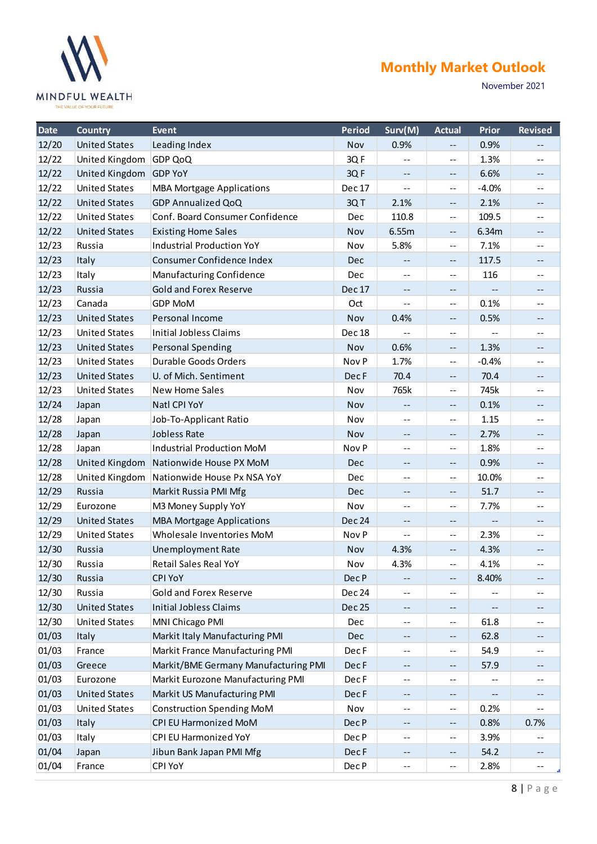

|                | THE VALUE OF YOUR FUTURE                     |                                                               |               |                                               |                                                                                                |                                                       | November 2021                                                                                  |
|----------------|----------------------------------------------|---------------------------------------------------------------|---------------|-----------------------------------------------|------------------------------------------------------------------------------------------------|-------------------------------------------------------|------------------------------------------------------------------------------------------------|
| Date           | <b>Country</b>                               | Event                                                         | Period        | Surv(M)                                       | <b>Actual</b>                                                                                  | Prior                                                 | <b>Revised</b>                                                                                 |
| 12/20          | <b>United States</b>                         | Leading Index                                                 | <b>Nov</b>    | 0.9%                                          | $- -$                                                                                          | 0.9%                                                  | $\mathcal{L} = \mathcal{L}$                                                                    |
| 12/22          | United Kingdom GDP QoQ                       |                                                               | 3QF           | $\mathbf{H}=\mathbf{0}$                       | $\mathbf{m}$                                                                                   | 1.3%                                                  | $- -$                                                                                          |
| 12/22          | United Kingdom GDP YoY                       |                                                               | 3QF           | $--$                                          | $\overline{\phantom{a}}$                                                                       | 6.6%                                                  | $\qquad \qquad -$                                                                              |
| 12/22<br>12/22 | <b>United States</b><br><b>United States</b> | <b>MBA Mortgage Applications</b><br><b>GDP Annualized QoQ</b> | Dec 17<br>3QT | $\mathbf{m}$<br>2.1%                          | $\mathord{\hspace{1pt}\text{--}\hspace{1pt}}$                                                  | $-4.0%$<br>2.1%                                       | $- -$<br>$--$                                                                                  |
| 12/22          | <b>United States</b>                         | Conf. Board Consumer Confidence                               | Dec           | 110.8                                         | $\mathord{\hspace{1pt}\text{--}\hspace{1pt}}$<br>$\mathbf{m}$                                  | 109.5                                                 | $\qquad \qquad -$                                                                              |
| 12/22          | <b>United States</b>                         | <b>Existing Home Sales</b>                                    | Nov           | 6.55m                                         | $- -$                                                                                          | 6.34m                                                 | $--$                                                                                           |
| 12/23          | Russia                                       | <b>Industrial Production YoY</b>                              | Nov           | 5.8%                                          | $\sim$ $\sim$                                                                                  | 7.1%                                                  | $\mathcal{L}_{\mathcal{L}}$                                                                    |
| 12/23          | Italy                                        | Consumer Confidence Index                                     | <b>Dec</b>    | $\sim$ $\sim$                                 | $\overline{\phantom{a}}$                                                                       | 117.5                                                 | $--$                                                                                           |
| 12/23          | Italy                                        | Manufacturing Confidence                                      | <b>Dec</b>    | $\sim$ $-$                                    | $--$                                                                                           | 116                                                   | $\sim$ $-$                                                                                     |
| 12/23          | Russia                                       | <b>Gold and Forex Reserve</b>                                 | <b>Dec 17</b> | $\sim$ $-$                                    | $--$                                                                                           | $\sim$ $-$                                            | $--$                                                                                           |
| 12/23          | Canada                                       | <b>GDP MoM</b>                                                | Oct           | $\mathbf{m}$                                  | $\mathord{\hspace{1pt}\text{--}\hspace{1pt}}$                                                  | 0.1%                                                  | $- -$                                                                                          |
| 12/23          | <b>United States</b>                         | Personal Income                                               | Nov           | 0.4%                                          | $\overline{\phantom{a}}$                                                                       | 0.5%                                                  | $\qquad \qquad -$                                                                              |
| 12/23          | <b>United States</b>                         | Initial Jobless Claims                                        | Dec 18        | $\sim$ $-$                                    | $\mathord{\hspace{1pt}\text{--}\hspace{1pt}}$                                                  | $\sim$ $-$                                            | $\mathord{\hspace{1pt}\text{--}\hspace{1pt}}$                                                  |
| 12/23          | <b>United States</b>                         | <b>Personal Spending</b>                                      | Nov           | 0.6%                                          | $\mathord{\hspace{1pt}\text{--}\hspace{1pt}}$                                                  | 1.3%                                                  | $--$                                                                                           |
| 12/23          | <b>United States</b>                         | Durable Goods Orders                                          | Nov P         | 1.7%                                          | $\mathord{\hspace{1pt}\text{--}\hspace{1pt}}$                                                  | $-0.4%$                                               | $\mathbf{m}$                                                                                   |
| 12/23          | <b>United States</b>                         | U. of Mich. Sentiment                                         | Dec F         | 70.4                                          | $- -$                                                                                          | 70.4                                                  | $\mathord{\hspace{1pt}\text{--}\hspace{1pt}}$                                                  |
| 12/23          | <b>United States</b>                         | <b>New Home Sales</b>                                         | Nov           | 765k                                          | $\sim$                                                                                         | 745k                                                  | $\mathord{\hspace{1pt}\text{--}\hspace{1pt}}$                                                  |
| 12/24          | Japan                                        | Natl CPI YoY                                                  | Nov           | $\mathord{\hspace{1pt}\text{--}\hspace{1pt}}$ | $\mathord{\hspace{1pt}\text{--}\hspace{1pt}}$                                                  | 0.1%                                                  | $\mathcal{L} = \mathcal{L}$                                                                    |
| 12/28          | Japan                                        | Job-To-Applicant Ratio                                        | Nov           | $\mathbf{m}$                                  | $\sim$ $\sim$                                                                                  | 1.15                                                  | $- -$                                                                                          |
| 12/28          | Japan                                        | Jobless Rate                                                  | Nov           | $\qquad \qquad -$                             | $\mathord{\hspace{1pt}\text{--}\hspace{1pt}}$                                                  | 2.7%                                                  | $--$                                                                                           |
| 12/28          | Japan                                        | Industrial Production MoM                                     | Nov P         | $\mathbf{H}=\mathbf{0}$                       | $\sim$ $\sim$                                                                                  | 1.8%                                                  | $\mathbf{m}$                                                                                   |
| 12/28          | <b>United Kingdom</b>                        | Nationwide House PX MoM                                       | Dec           | $\mathord{\hspace{1pt}\text{--}\hspace{1pt}}$ | $- -$                                                                                          | 0.9%                                                  | $\mathord{\hspace{1pt}\text{--}\hspace{1pt}}$                                                  |
| 12/28          |                                              | United Kingdom Nationwide House Px NSA YoY                    | Dec           | $\mathbf{m}$                                  | $\mathord{\hspace{1pt}\text{--}\hspace{1pt}}$                                                  | 10.0%                                                 | $\mathbf{m}$                                                                                   |
| 12/29          | Russia                                       | Markit Russia PMI Mfg                                         | Dec           | $\mathord{\hspace{1pt}\text{--}\hspace{1pt}}$ | $\mathord{\hspace{1pt}\text{--}\hspace{1pt}}$                                                  | 51.7                                                  | $\mathord{\hspace{1pt}\text{--}\hspace{1pt}}$                                                  |
| 12/29          | Eurozone                                     | M3 Money Supply YoY                                           | Nov           | $-$                                           | $\mathbf{u}$                                                                                   | 7.7%                                                  | $\mathbf{m}$                                                                                   |
| 12/29          | <b>United States</b><br><b>United States</b> | <b>MBA Mortgage Applications</b><br>Wholesale Inventories MoM | Dec 24        | $\sim$ $\sim$                                 | $- -$                                                                                          | $\mathord{\hspace{1pt}\text{--}\hspace{1pt}}$<br>2.3% | $--$                                                                                           |
| 12/29<br>12/30 | Russia                                       | <b>Unemployment Rate</b>                                      | Nov P<br>Nov  | $\mathbf{m}$<br>4.3%                          | $\mathord{\hspace{1pt}\text{--}\hspace{1pt}}$<br>$\mathord{\hspace{1pt}\text{--}\hspace{1pt}}$ | 4.3%                                                  | $\mathord{\hspace{1pt}\text{--}\hspace{1pt}}$<br>$\mathord{\hspace{1pt}\text{--}\hspace{1pt}}$ |
| 12/30          | Russia                                       | <b>Retail Sales Real YoY</b>                                  | Nov           | 4.3%                                          | $- -$                                                                                          | 4.1%                                                  | $\mathbf{m}$                                                                                   |
| 12/30          | Russia                                       | <b>CPI YoY</b>                                                | Dec P         | $\sim$ $\sim$                                 | $\mathord{\hspace{1pt}\text{--}\hspace{1pt}}$                                                  | 8.40%                                                 | $\mathord{\hspace{1pt}\text{--}\hspace{1pt}}$                                                  |
| 12/30          | Russia                                       | Gold and Forex Reserve                                        | Dec 24        | $\sim$ $-$                                    | $\sim$ $\sim$                                                                                  | $\sim$ $-$                                            | $- -$                                                                                          |
| 12/30          | <b>United States</b>                         | <b>Initial Jobless Claims</b>                                 | Dec 25        | $\mathord{\hspace{1pt}\text{--}\hspace{1pt}}$ | $\mathord{\hspace{1pt}\text{--}\hspace{1pt}}$                                                  | $- -$                                                 | $\mathord{\hspace{1pt}\text{--}\hspace{1pt}}$                                                  |
| 12/30          | <b>United States</b>                         | MNI Chicago PMI                                               | Dec           | $\sim$ $-$                                    | $\mathbb{L} \mathbb{L}$                                                                        | 61.8                                                  | $\mathbf{m}$                                                                                   |
| 01/03          | Italy                                        | Markit Italy Manufacturing PMI                                | Dec           | $- -$                                         | $- -$                                                                                          | 62.8                                                  | $\mathord{\hspace{1pt}\text{--}\hspace{1pt}}$                                                  |
| 01/03          | France                                       | Markit France Manufacturing PMI                               | Dec F         | $\mathbf{m}$                                  | $\sim$ $\sim$                                                                                  | 54.9                                                  | $\qquad \qquad -$                                                                              |
| 01/03          | Greece                                       | Markit/BME Germany Manufacturing PMI                          | Dec F         | $\sim$ $\sim$                                 | $\mathord{\hspace{1pt}\text{--}\hspace{1pt}}$                                                  | 57.9                                                  | $--$                                                                                           |
| 01/03          | Eurozone                                     | Markit Eurozone Manufacturing PMI                             | Dec F         | $\overline{\phantom{a}}$                      | $- -$                                                                                          | $- -$                                                 | $\overline{\phantom{m}}$                                                                       |
| 01/03          | <b>United States</b>                         | Markit US Manufacturing PMI                                   | Dec F         | $\sim$ $\sim$                                 | $\mathord{\hspace{1pt}\text{--}\hspace{1pt}}$                                                  | $\mathord{\hspace{1pt}\text{--}\hspace{1pt}}$         | $--$                                                                                           |
| 01/03          | <b>United States</b>                         | <b>Construction Spending MoM</b>                              | Nov           | $\mathbf{m}$                                  | $\mathord{\hspace{1pt}\text{--}\hspace{1pt}}$                                                  | 0.2%                                                  | $\mathbf{m}$                                                                                   |
| 01/03          | Italy                                        | <b>CPI EU Harmonized MoM</b>                                  | Dec P         | $\mathord{\hspace{1pt}\text{--}\hspace{1pt}}$ | $- -$                                                                                          | 0.8%                                                  | 0.7%                                                                                           |
| 01/03          | Italy                                        | CPI EU Harmonized YoY                                         | Dec P         | $\mathbf{H}=\mathbf{0}$                       | $\sim$ $\sim$                                                                                  | 3.9%                                                  | $\mathbf{m}$                                                                                   |
| 01/04          | Japan                                        | Jibun Bank Japan PMI Mfg                                      | Dec F         | $\sim$ $\sim$                                 | $\mathord{\hspace{1pt}\text{--}\hspace{1pt}}$                                                  | 54.2                                                  | $\sim$ $\sim$                                                                                  |
| 01/04          | France                                       | <b>CPI YoY</b>                                                | Dec P         | $\mathord{\hspace{1pt}\text{--}\hspace{1pt}}$ | $\mathord{\hspace{1pt}\text{--}\hspace{1pt}}$                                                  | 2.8%                                                  | $\sim$ $-$                                                                                     |